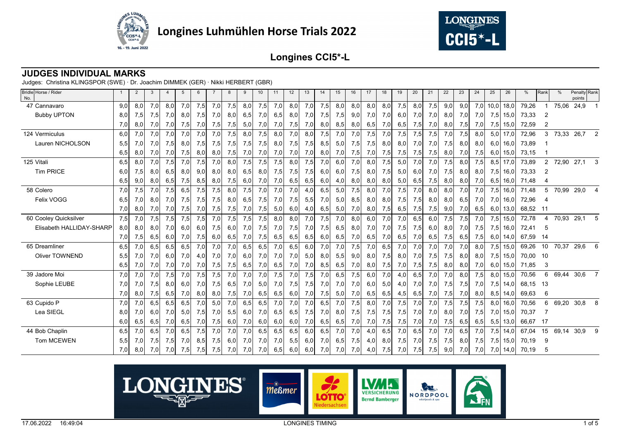



## **JUDGES INDIVIDUAL MARKS**

| Bridle Horse / Rider<br>No. |     | $\overline{2}$ | 3   | 4   | 5   | 6   |     | 8   | 9   | 10  | 11  | 12  | 13  | 14  | 15  | 16  | 17  | 18  | 19  | 20  | 21  | 22  | 23   | 24   | 25   | 26           | %     | Rank           | %     | Penalty Rank<br>points |   |
|-----------------------------|-----|----------------|-----|-----|-----|-----|-----|-----|-----|-----|-----|-----|-----|-----|-----|-----|-----|-----|-----|-----|-----|-----|------|------|------|--------------|-------|----------------|-------|------------------------|---|
| 47 Cannavaro                | 9,0 | 8,0            | 7,0 | 8,0 | 7,0 | 7,5 | 7,0 | 7,5 | 8,0 | 7,5 | 7,0 | 8,0 | 7,0 | 7,5 | 8,0 | 8,0 | 8,0 | 8,0 | 7,5 | 8,0 | 7,5 | 9,0 | 9,0  | 7,0  | 10,0 | 18,0         | 79,26 |                | 75,06 | 24,9                   |   |
| <b>Bubby UPTON</b>          | 8,0 | 7,5            | 7,5 | 7,0 | 8,0 | 7,5 | 7,0 | 8,0 | 6,5 | 7,0 | 6,5 | 8,0 | 7,0 | 7,5 | 7,5 | 9,0 | 7,0 | 7,0 | 6,0 | 7,0 | 7,0 | 8,0 | 7,0  | 7,0  |      | $7,5$ 15,0   | 73,33 | 2              |       |                        |   |
|                             | 7,0 | 8,0            | 7,0 | 7,0 | 7,5 | 7,0 | 7,5 | 7,5 | 5,0 | 7,0 | 7,0 | 7,5 | 7,0 | 8,0 | 8,5 | 8,0 | 6,5 | 7,0 | 6,5 | 7,5 | 7,0 | 8,0 | 7,5  | 7,0  | 7,5  | 15,0         | 72,59 | 2              |       |                        |   |
| 124 Vermiculus              | 6,0 | 7,0            | 7,0 | 7,0 | 7,0 | 7,0 | 7,0 | 7,5 | 8,0 | 7,5 | 8,0 | 7,0 | 8.0 | 7,5 | 7,0 | 7,0 | 7,5 | 7,0 | 7,5 | 7,5 | 7,5 | 7,0 | 7,5  | 8,0  |      | $5,0$ 17,0   | 72,96 | 3              | 73,33 | 26,7                   | 2 |
| Lauren NICHOLSON            | 5,5 | 7,0            | 7,0 | 7,5 | 8,0 | 7,5 | 7,5 | 7,5 | 7,5 | 7,5 | 8,0 | 7,5 | 7,5 | 8,5 | 5,0 | 7,5 | 7,5 | 8,0 | 8,0 | 7,0 | 7,0 | 7,5 | 8,0  | 8,0  |      | $6,0$ 16,0   | 73,89 |                |       |                        |   |
|                             | 6,5 | 8,0            | 7,0 | 7,0 | 7,5 | 8,0 | 8,0 | 7,5 | 7,0 | 7,0 | 7,0 | 7,0 | 7,0 | 8,0 | 7,0 | 7,5 | 7,0 | 7,5 | 7,5 | 7,5 | 7,5 | 8,0 | 7,0  | 7,5  | 6,0  | 15,0         | 73,15 |                |       |                        |   |
| 125 Vitali                  | 6,5 | 8,0            | 7,0 | 7,5 | 7,0 | 7,5 | 7,0 | 8,0 | 7,5 | 7,5 | 7,5 | 8,0 | 7,5 | 7,0 | 6,0 | 7,0 | 8,0 | 7,5 | 5,0 | 7,0 | 7,0 | 7,5 | 8,0  | 7,5  |      | $8,5$ 17,0   | 73,89 | $\overline{2}$ | 72,90 | 27,1                   |   |
| <b>Tim PRICE</b>            | 6,0 | 7,5            | 8,0 | 6,5 | 8,0 | 9,0 | 8,0 | 8,0 | 6,5 | 8,0 | 7,5 | 7,5 | 7,5 | 6,0 | 6,0 | 7,5 | 8,0 | 7,5 | 5,0 | 6,0 | 7,0 | 7,5 | 8,0  | 8,0  | 7,5  | 16,0         | 73,33 | 2              |       |                        |   |
|                             | 6,5 | 9,0            | 8,0 | 6,5 | 7,5 | 8,5 | 8,0 | 7,5 | 6,0 | 7,0 | 7,0 | 6,5 | 6,5 | 6,0 | 4,0 | 8,0 | 8,0 | 8,0 | 5,0 | 6,5 | 7,5 | 8,0 | 8,0  | 7,0  | 6,5  | 16,0         | 71,48 |                |       |                        |   |
| 58 Colero                   | 7,0 | 7,5            | 7,0 | 7,5 | 6,5 | 7,5 | 7,5 | 8,0 | 7,5 | 7,0 | 7,0 | 7,0 | 4,0 | 6,5 | 5,0 | 7,5 | 8,0 | 7,0 | 7,5 | 7,0 | 8,0 | 8,0 | 7,0  | 7,0  |      | 7,5 16,0     | 71,48 | 5              | 70,99 | 29,0                   |   |
| Felix VOGG                  | 6,5 | 7,0            | 8,0 | 7,0 | 7,5 | 7,5 | 7,5 | 8,0 | 6,5 | 7,5 | 7,0 | 7,5 | 5,5 | 7,0 | 5,0 | 8,5 | 8,0 | 8,0 | 7,5 | 7,5 | 8,0 | 8,0 | 6.5  | 7,0  |      | 7,0 16.0     | 72,96 |                |       |                        |   |
|                             | 7,0 | 8,0            | 7,0 | 7,0 | 7,5 | 7,0 | 7,5 | 7,5 | 7,0 | 7,5 | 5,0 | 6,0 | 4,0 | 6,5 | 5,0 | 7,0 | 8,0 | 7,5 | 6,5 | 7,5 | 7,5 | 9,0 | 7,0  | 6,5  |      | $6,0$ 13,0   | 68,52 | $-11$          |       |                        |   |
| 60 Cooley Quicksilver       | 7,5 | 7,0            | 7,5 | 7,5 | 7,5 | 7,5 | 7,0 | 7,5 | 7,5 | 7,5 | 8,0 | 8,0 | 7,0 | 7,5 | 7,0 | 8,0 | 6,0 | 7,0 | 7,0 | 6,5 | 6,0 | 7,5 | 7,5  | 7,0  | 7,5  | 15,0         | 72,78 |                | 70,93 | 29,1                   |   |
| Elisabeth HALLIDAY-SHARP    | 8,0 | 8,0            | 8,0 | 7,0 | 6,0 | 6,0 | 7,5 | 6,0 | 7,0 | 7,5 | 7,0 | 7,5 | 7,0 | 7,5 | 6,5 | 8,0 | 7,0 | 7,0 | 7,5 | 7,5 | 6,0 | 8,0 | 7,0  | 7,5  | 7,5  | 16,0         | 72,41 | -5             |       |                        |   |
|                             | 7,0 | 7,5            | 6,5 | 6,0 | 7,0 | 7,5 | 6,0 | 6,5 | 7,0 | 7,5 | 6,5 | 6,5 | 6,5 | 6,0 | 6,5 | 7,0 | 6,5 | 7,0 | 6,5 | 7,0 | 6,5 | 7,5 | 6,5  | 7,5  |      | $6,0$ 14,0   | 67,59 | - 14           |       |                        |   |
| 65 Dreamliner               | 6,5 | 7,0            | 6,5 | 6,5 | 6,5 | 7,0 | 7,0 | 7,0 | 6,5 | 6,5 | 7,0 | 6,5 | 6,0 | 7,0 | 7,0 | 7,5 | 7,0 | 6,5 | 7,0 | 7,0 | 7,0 | 7,0 | 7,0  | 8.0  |      | $7,5$ 15,0   | 69,26 | 10             | 70,37 | 29,6                   |   |
| Oliver TOWNEND              | 5,5 | 7,0            | 7,0 | 6,0 | 7,0 | 4,0 | 7,0 | 7,0 | 6,0 | 7,0 | 7,0 | 7,0 | 5,0 | 8,0 | 5,5 | 9,0 | 8,0 | 7,5 | 8,0 | 7,0 | 7,5 | 7,5 | 8.OI | 8.OI |      | $7,5$ 15,0   | 70,00 | - 10           |       |                        |   |
|                             | 6,5 | 7,0            | 7,0 | 7,0 | 7,0 | 7,0 | 7,5 | 7,5 | 6,5 | 7,0 | 6,5 | 7,0 | 7,0 | 8,5 | 6,5 | 7,0 | 8,0 | 7,5 | 7,0 | 7,5 | 7,5 | 8,0 | 8,0  | 7,0  |      | $6,0$   15,0 | 71,85 | 3              |       |                        |   |
| 39 Jadore Moi               | 7,0 | 7,0            | 7,0 | 7,5 | 7,0 | 7,5 | 7,5 | 7,0 | 7,0 | 7,0 | 7,5 | 7,0 | 7,5 | 7,0 | 6,5 | 7,5 | 6,0 | 7,0 | 4,0 | 6,5 | 7,0 | 7,0 | 8,0  | 7,5  |      | 8,0 15,0     | 70,56 | 6              | 69,44 | 30,6                   |   |
| Sophie LEUBE                | 7,0 | 7,0            | 7,5 | 8,0 | 6,0 | 7,0 | 7,5 | 6,5 | 7,0 | 5,0 | 7,0 | 7,5 | 7,5 | 7,0 | 7,0 | 7,0 | 6,0 | 5,0 | 4,0 | 7,0 | 7,0 | 7,5 | 7,5  | 7,0  | 7,5  | 14,0         | 68,15 | -13            |       |                        |   |
|                             | 7,0 | 8,0            | 7,5 | 6,5 | 7,0 | 8,0 | 8,0 | 7,5 | 7,0 | 6,5 | 6,5 | 6,0 | 7,0 | 7,5 | 5,0 | 7,0 | 6,5 | 6,5 | 4,5 | 6,5 | 7,0 | 7,5 | 7,0  | 8,0  | 8,5  | 14,0         | 69,63 | 6              |       |                        |   |
| 63 Cupido P                 | 7,0 | 7,0            | 6,5 | 6,5 | 6,5 | 7,0 | 5,0 | 7,0 | 6,5 | 6,5 | 7,0 | 7,0 | 7,0 | 6,5 | 7,0 | 7,5 | 8,0 | 7,0 | 7,5 | 7,0 | 7,0 | 7,5 | 7,5  | 7,5  | 8,0  | 16,0         | 70,56 | 6              | 69,20 | 30,8                   |   |
| Lea SIEGL                   | 8,0 | 7,0            | 6,0 | 7,0 | 5,0 | 7,5 | 7,0 | 5,5 | 6,0 | 7,0 | 6,5 | 6,5 | 7,5 | 7,0 | 8,0 | 7,5 | 7,5 | 7,5 | 7,5 | 7,0 | 7,0 | 8,0 | 7,0  | 7,5  |      | 7,0 15,0     | 70,37 |                |       |                        |   |
|                             | 6,0 | 6,5            | 6,5 | 7,0 | 6,5 | 7,0 | 7,5 | 6,0 | 7,0 | 6,0 | 6,0 | 6,0 | 7,0 | 6,5 | 6,5 | 7,0 | 7,0 | 7,5 | 7,5 | 7,0 | 7,0 | 7,5 | 6,5  | 6,5  | 5,5  | 13,0         | 66,67 | - 17           |       |                        |   |
| 44 Bob Chaplin              | 6,5 | 7,0            | 6,5 | 7,0 | 6,5 | 7,5 | 7,0 | 7,0 | 7,0 | 6,5 | 6,5 | 6,5 | 6,0 | 6,5 | 7,0 | 7,0 | 4,0 | 6,5 | 7,0 | 6,5 | 7,0 | 7,0 | 6,5  | 7,0  | 7,5  | 14,0         | 67,04 | 15             | 69,14 | 30,9                   |   |
| Tom MCEWEN                  | 5,5 | 7,0            | 7,5 | 7,5 | 7,0 | 8,5 | 7,5 | 6,0 | 7,0 | 7,0 | 7,0 | 5,5 | 6,0 | 7,0 | 6,5 | 7,5 | 4,0 | 8,0 | 7,5 | 7,0 | 7,5 | 7,5 | 8,0  | 7,5  |      | 7,5 15,0     | 70,19 | 9              |       |                        |   |
|                             | 7,0 | 8,0            | 7,0 | 7,0 | 7,5 | 7,5 | 7,5 | 7,0 | 7,0 | 7,0 | 6,5 | 6,0 | 6,0 | 7,0 | 7,0 | 7,0 | 4,0 | 7,5 | 7,0 | 7,5 | 7,5 | 9,0 | 7,0  | 7,0  |      | $7,0$ 14,0   | 70,19 | 5              |       |                        |   |

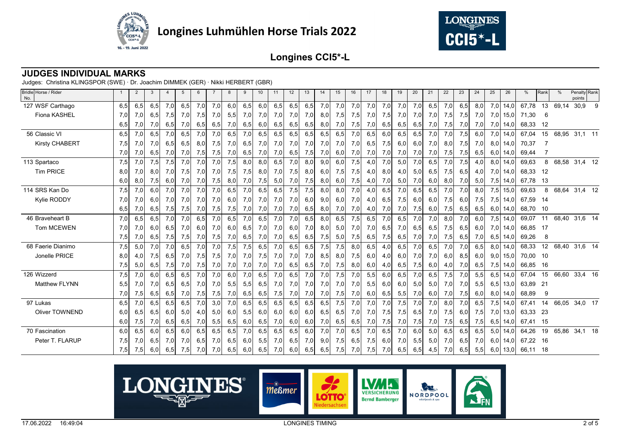



## **JUDGES INDIVIDUAL MARKS**

| Bridle Horse / Rider<br>No. |     | 2   | 3   | $\overline{4}$ | 5   | 6   |     | 8   | 9   | 10  | 11  | 12  | 13  | 14  | 15  | 16  | 17  | 18  | 19  | 20  | 21  | 22  | 23  | 24  | 25  | 26   | %     | Rank | %     | Penalty Rank<br>points |   |
|-----------------------------|-----|-----|-----|----------------|-----|-----|-----|-----|-----|-----|-----|-----|-----|-----|-----|-----|-----|-----|-----|-----|-----|-----|-----|-----|-----|------|-------|------|-------|------------------------|---|
| 127 WSF Carthago            | 6,5 | 6,5 | 6,5 | 7,0            | 6,5 | 7,0 | 7,0 | 6,0 | 6,5 | 6,0 | 6,5 | 6,5 | 6,5 | 7,0 | 7,0 | 7,0 | 7,0 | 7,0 | 7,0 | 7,0 | 6,5 | 7,0 | 6,5 | 8,0 | 7,0 | 14,0 | 67,78 | 13   | 69,14 | 30,9                   | 9 |
| Fiona KASHEL                | 7,0 | 7,0 | 6,5 | 7,5            | 7,0 | 7,5 | 7,0 | 5,5 | 7,0 | 7,0 | 7,0 | 7,0 | 7,0 | 8,0 | 7,5 | 7,5 | 7,0 | 7,5 | 7,0 | 7,0 | 7,0 | 7,5 | 7,5 | 7,0 | 7,0 | 15,0 | 71,30 | 6    |       |                        |   |
|                             | 6,5 | 7,0 | 7,0 | 6,5            | 7,0 | 6,5 | 6,5 | 7,0 | 6,5 | 6,0 | 6,5 | 6,5 | 6,5 | 8,0 | 7,0 | 7,5 | 7,0 | 6,5 | 6,5 | 6,5 | 7,0 | 7,5 | 7,0 | 7,0 | 7,0 | 14,0 | 68,33 | 12   |       |                        |   |
| 56 Classic VI               | 6,5 | 7,0 | 6,5 | 7,0            | 6,5 | 7,0 | 7,0 | 6,5 | 7,0 | 6,5 | 6,5 | 6,5 | 6,5 | 6,5 | 6,5 | 7,0 | 6,5 | 6,0 | 6,5 | 6,5 | 7,0 | 7,0 | 7,5 | 6,0 | 7,0 | 14,0 | 67,04 | 15   | 68,95 | $31,1$ 11              |   |
| <b>Kirsty CHABERT</b>       | 7,5 | 7,0 | 7,0 | 6,5            | 6,5 | 8,0 | 7,5 | 7,0 | 6,5 | 7,0 | 7,0 | 7,0 | 7,0 | 7,0 | 7,0 | 7,0 | 6,5 | 7,5 | 6,0 | 6,0 | 7,0 | 8,0 | 7,5 | 7,0 | 8,0 | 14,0 | 70,37 |      |       |                        |   |
|                             | 7,0 | 7,0 | 6,5 | 7,0            | 7,0 | 7,5 | 7,5 | 7,0 | 6,5 | 7,0 | 7,0 | 6,5 | 7,5 | 7,0 | 6,0 | 7,0 | 7,0 | 7,0 | 7,0 | 7,0 | 7,0 | 7,5 | 7,5 | 6,5 | 6,0 | 14,0 | 69,44 |      |       |                        |   |
| 113 Spartaco                | 7,5 | 7,0 | 7,5 | 7,5            | 7,0 | 7,0 | 7,0 | 7,5 | 8,0 | 8,0 | 6,5 | 7,0 | 8,0 | 9,0 | 6,0 | 7,5 | 4,0 | 7,0 | 5,0 | 7,0 | 6,5 | 7,0 | 7,5 | 4,0 | 8,0 | 14,0 | 69,63 | 8    | 68,58 | 31,4 12                |   |
| <b>Tim PRICE</b>            | 8,0 | 7,0 | 8,0 | 7,0            | 7,5 | 7,0 | 7,0 | 7,5 | 7,5 | 8,0 | 7,0 | 7,5 | 8,0 | 6,0 | 7,5 | 7,5 | 4,0 | 8,0 | 4,0 | 5,0 | 6,5 | 7,5 | 6,5 | 4,0 | 7,0 | 14,0 | 68,33 | 12   |       |                        |   |
|                             | 6,0 | 8,0 | 7,5 | 6,0            | 7,0 | 7,0 | 7,5 | 8,0 | 7,0 | 7,5 | 5,0 | 7,0 | 7,5 | 8,0 | 6,0 | 7,5 | 4,0 | 7,0 | 5,0 | 7,0 | 6,0 | 8,0 | 7,0 | 5,0 | 7,5 | 14,0 | 67,78 | -13  |       |                        |   |
| 114 SRS Kan Do              | 7,5 | 7,0 | 6,0 | 7,0            | 7,0 | 7,0 | 7,0 | 6,5 | 7,0 | 6,5 | 6,5 | 7,5 | 7,5 | 8,0 | 8,0 | 7,0 | 4,0 | 6,5 | 7,0 | 6,5 | 6,5 | 7,0 | 7,0 | 8,0 | 7,5 | 15,0 | 69,63 | 8    | 68,64 | 31,4 12                |   |
| Kylie RODDY                 | 7,0 | 7,0 | 6,0 | 7,0            | 7,0 | 7,0 | 7,0 | 6,0 | 7,0 | 7,0 | 7,0 | 7,0 | 6,0 | 9,0 | 6,0 | 7,0 | 4,0 | 6,5 | 7,5 | 6,0 | 6,0 | 7,5 | 6,0 | 7,5 | 7,5 | 14,0 | 67,59 | - 14 |       |                        |   |
|                             | 6,5 | 7,0 | 6,5 | 7,5            | 7,5 | 7,0 | 7,5 | 7,5 | 7,0 | 7,0 | 7,0 | 7,0 | 6,5 | 8,0 | 7,0 | 7,0 | 4,0 | 7,0 | 7,0 | 7,5 | 6,0 | 7,5 | 6,5 | 6,5 | 6,0 | 14,0 | 68,70 | 10   |       |                        |   |
| 46 Braveheart B             | 7,0 | 6,5 | 6,5 | 7,0            | 7,0 | 6,5 | 7,0 | 6,5 | 7,0 | 6,5 | 7,0 | 7,0 | 6,5 | 8,0 | 6,5 | 7,5 | 6,5 | 7,0 | 6,5 | 7,0 | 7,0 | 8,0 | 7,0 | 6,0 | 7,5 | 14,0 | 69,07 | 11   | 68,40 | 31,6 14                |   |
| Tom MCEWEN                  | 7,0 | 7,0 | 6,0 | 6,5            | 7,0 | 6,0 | 7,0 | 6,0 | 6,5 | 7,0 | 7,0 | 6,0 | 7,0 | 8,0 | 5,0 | 7,0 | 7,0 | 6,5 | 7,0 | 6,5 | 6,5 | 7,5 | 6,5 | 6,0 | 7,0 | 14,0 | 66,85 | 17   |       |                        |   |
|                             | 7,5 | 7,0 | 6,5 | 7,5            | 7,5 | 7,0 | 7,5 | 7,0 | 6,5 | 7,0 | 7,0 | 6,5 | 6,5 | 7,5 | 5,0 | 7,5 | 6,5 | 7,5 | 6,5 | 7,0 | 7,0 | 7,5 | 6,5 | 7,0 | 6,5 | 14,0 | 69,26 | 8    |       |                        |   |
| 68 Faerie Dianimo           | 7,5 | 5,0 | 7,0 | 7,0            | 6,5 | 7,0 | 7,0 | 7,5 | 7,5 | 6,5 | 7,0 | 6,5 | 6,5 | 7,5 | 7,5 | 8,0 | 6,5 | 4,0 | 6,5 | 7,0 | 6,5 | 7,0 | 7,0 | 6,5 | 8,0 | 14.0 | 68,33 | 12   | 68,40 | 31,6 14                |   |
| Jonelle PRICE               | 8,0 | 4,0 | 7,5 | 6,5            | 7,0 | 7,5 | 7,5 | 7,0 | 7,0 | 7,5 | 7,0 | 7,0 | 7,0 | 8,5 | 8,0 | 7,5 | 6,0 | 4,0 | 6,0 | 7,0 | 7,0 | 6,0 | 8,5 | 6,0 | 9,0 | 15,0 | 70,00 | - 10 |       |                        |   |
|                             | 7,5 | 5,0 | 6,5 | 7,5            | 7,0 | 7,5 | 7,0 | 7,0 | 7,0 | 7,0 | 7,0 | 6,5 | 6,5 | 7,0 | 7,5 | 8,0 | 6,0 | 4,0 | 6,5 | 7,5 | 6,0 | 4,0 | 7,0 | 6,5 | 7,5 | 14,0 | 66,85 | 16   |       |                        |   |
| 126 Wizzerd                 | 7,5 | 7,0 | 6,0 | 6,5            | 6,5 | 7,0 | 7,0 | 6,0 | 7,0 | 6,5 | 7,0 | 6,5 | 7,0 | 7,0 | 7,5 | 7,0 | 5,5 | 6,0 | 6,5 | 7,0 | 6,5 | 7,5 | 7,0 | 5,5 | 6,5 | 14.0 | 67,04 | 15   | 66,60 | 33,4 16                |   |
| <b>Matthew FLYNN</b>        | 5,5 | 7,0 | 7,0 | 6,5            | 6,5 | 7,0 | 7,0 | 5,5 | 5,5 | 6,5 | 7,0 | 7,0 | 7,0 | 7,0 | 7,0 | 7,0 | 5,5 | 6,0 | 6,0 | 5,0 | 5,0 | 7,0 | 7,0 | 5,5 | 6,5 | 13,0 | 63,89 | 21   |       |                        |   |
|                             | 7,0 | 7,5 | 6,5 | 6,5            | 7,0 | 7,5 | 7,5 | 7,0 | 6,5 | 6,5 | 7,5 | 7,0 | 7,0 | 7,0 | 7,5 | 7,0 | 6,0 | 6,5 | 5,5 | 7,0 | 6,0 | 7,0 | 7,5 | 6,0 | 8,0 | 14,0 | 68,89 | 9    |       |                        |   |
| 97 Lukas                    | 6,5 | 7,0 | 6,5 | 6,5            | 6,5 | 7,0 | 3,0 | 7,0 | 6,5 | 6.5 | 6,5 | 6,5 | 6,5 | 6,5 | 7,5 | 7,0 | 7,0 | 7,0 | 7,5 | 7,0 | 7,0 | 8,0 | 7,0 | 6,5 | 7,5 | 14.0 | 67,41 | 14   | 66,05 | 34,0 17                |   |
| <b>Oliver TOWNEND</b>       | 6,0 | 6,5 | 6,5 | 6,0            | 5,0 | 4,0 | 5,0 | 6,0 | 5,5 | 6,0 | 6,0 | 6,0 | 6,0 | 6,5 | 6,5 | 7,0 | 7,0 | 7,5 | 7,5 | 6,5 | 7,0 | 7,5 | 6,0 | 7,5 | 7,0 | 13,0 | 63,33 | -23  |       |                        |   |
|                             | 6,0 | 7,5 | 7,0 | 6,5            | 6,5 | 7,0 | 5,5 | 6,5 | 6,0 | 6,5 | 7,0 | 6,0 | 6,0 | 7,0 | 6,5 | 6,5 | 7,0 | 7,5 | 7,0 | 7,5 | 7,0 | 7,5 | 6,5 | 7,5 | 6,5 | 14,0 | 67,41 | 15   |       |                        |   |
| 70 Fascination              | 6,0 | 6,5 | 6,0 | 6,5            | 6,0 | 6,5 | 6,5 | 6,5 | 7,0 | 6,5 | 6,5 | 6,5 | 6,0 | 7,0 | 7,0 | 6,5 | 7,0 | 6,5 | 7,0 | 6,0 | 5,0 | 6,5 | 6,5 | 6,5 | 5,0 | 14,0 | 64,26 | 19   | 65,86 | 34,1 18                |   |
| Peter T. FLARUP             | 7,5 | 7,0 | 6,5 | 7,0            | 7,0 | 6,5 | 7,0 | 6,5 | 6,0 | 5,5 | 7,0 | 6,5 | 7,0 | 9,0 | 7,5 | 6,5 | 7,5 | 6,0 | 7,0 | 5,5 | 5,0 | 7,0 | 6,5 | 7,0 | 6,0 | 14,0 | 67,22 | 16   |       |                        |   |
|                             | 7,5 | 7,5 | 6,0 | 6,5            | 7,5 | 7,0 | 7,0 | 6,5 | 6,0 | 6,5 | 7,0 | 6,0 | 6,5 | 6,5 | 7,5 | 7,0 | 7,5 | 7,0 | 6,5 | 6,5 | 4,5 | 7,0 | 6,5 | 5,5 | 6,0 | 13,0 | 66,11 | - 18 |       |                        |   |

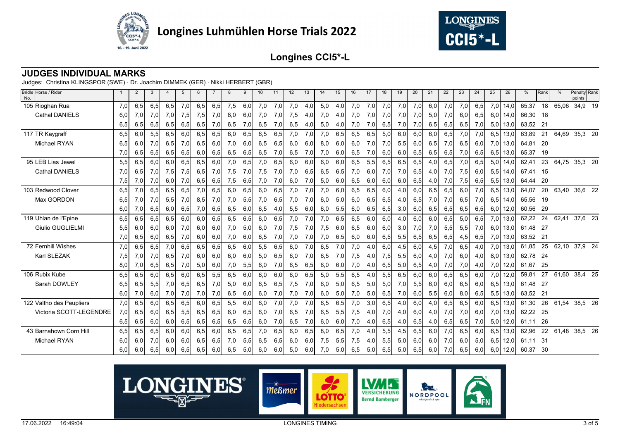



## **JUDGES INDIVIDUAL MARKS**

| Bridle Horse / Rider<br>No. |     | 2   | 3   | 4   | 5   | 6   |     | 8   | 9   | 10  | 11  | 12  | 13  | 14  | 15  | 16  | 17  | 18  | 19  | 20  | 21  | 22  | 23  | 24    | 25  | 26   | %        | Rank | %     | Penalty Rank<br>points |  |
|-----------------------------|-----|-----|-----|-----|-----|-----|-----|-----|-----|-----|-----|-----|-----|-----|-----|-----|-----|-----|-----|-----|-----|-----|-----|-------|-----|------|----------|------|-------|------------------------|--|
| 105 Rioghan Rua             | 7,0 | 6,5 | 6,5 | 6,5 | 7,0 | 6,5 | 6,5 | 7,5 | 6,0 | 7,0 | 7,0 | 7,0 | 4,0 | 5,0 | 4,0 | 7,0 | 7,0 | 7,0 | 7,0 | 7,0 | 6,0 | 7,0 | 7,0 | 6,5   | 7,0 | 14,0 | 65,37    | 18   | 65,06 | 34,9 19                |  |
| <b>Cathal DANIELS</b>       | 6,0 | 7,0 | 7,0 | 7,0 | 7,5 | 7,5 | 7,0 | 8,0 | 6,0 | 7,0 | 7,0 | 7,5 | 4,0 | 7,0 | 4,0 | 7,0 | 7,0 | 7,0 | 7,0 | 7,0 | 5,0 | 7,0 | 6,0 | 6,5   | 6,0 | 14,0 | 66,30    | - 18 |       |                        |  |
|                             | 6,5 | 6,5 | 6,5 | 6,5 | 6,5 | 6,5 | 7,0 | 6,5 | 7,0 | 6,5 | 7,0 | 6,5 | 4,0 | 5,0 | 4,0 | 7,0 | 7,0 | 6,5 | 7,0 | 7,0 | 6,5 | 6,5 | 6,5 | 7,0   | 5,0 | 13,0 | 63,52 21 |      |       |                        |  |
| 117 TR Kaygraff             | 6,5 | 6,0 | 5,5 | 6,5 | 6,0 | 6,5 | 6,5 | 6,0 | 6,5 | 6,5 | 6,5 | 7,0 | 7,0 | 7,0 | 6,5 | 6,5 | 6,5 | 5,0 | 6,0 | 6,0 | 6,0 | 6,5 | 7,0 | 7,0   | 6,5 | 13,0 | 63,89    | 21   | 64,69 | 35,3 20                |  |
| <b>Michael RYAN</b>         | 6,5 | 6,0 | 7,0 | 6,5 | 7,0 | 6,5 | 6,0 | 7,0 | 6,0 | 6,5 | 6,5 | 6,0 | 6,0 | 8,0 | 6,0 | 6,0 | 7,0 | 7,0 | 5,5 | 6,0 | 6,5 | 7,0 | 6,5 | 6,0   | 7,0 | 13,0 | 64,81    | - 20 |       |                        |  |
|                             | 7,0 | 6,5 | 6,5 | 6,5 | 6,5 | 6,0 | 6,5 | 6,5 | 6,5 | 6,5 | 7,0 | 6,5 | 7,0 | 7,0 | 6,0 | 6,5 | 7,0 | 6,0 | 6,0 | 6,5 | 6,5 | 6,5 | 7,0 | 6,5   | 6,5 | 13,0 | 65,37    | 19   |       |                        |  |
| 95 LEB Lias Jewel           | 5,5 | 6,5 | 6,0 | 6,0 | 6,5 | 6,5 | 6,0 | 7,0 | 6,5 | 7,0 | 6,5 | 6,0 | 6,0 | 6,0 | 6,0 | 6,5 | 5,5 | 6,5 | 6,5 | 6,5 | 4,0 | 6,5 | 7,0 | 6,5   | 5,0 | 14,0 | 62,41    | 23   | 64,75 | 35,3 20                |  |
| <b>Cathal DANIELS</b>       | 7,0 | 6,5 | 7,0 | 7,5 | 7,5 | 6,5 | 7,0 | 7,5 | 7,0 | 7,5 | 7,0 | 7,0 | 6,5 | 6,5 | 6,5 | 7,0 | 6,0 | 7,0 | 7,0 | 6,5 | 4,0 | 7,0 | 7,5 | 6,0   | 5,5 | 14,0 | 67.41    | 15   |       |                        |  |
|                             | 7,5 | 7,0 | 7,0 | 6,0 | 7,0 | 6,5 | 6,5 | 7,5 | 6,5 | 7,0 | 7,0 | 6,0 | 7,0 | 5,0 | 6,0 | 6,5 | 6,0 | 6,0 | 6,0 | 6,5 | 4,0 | 7,0 | 7,5 | 6,5   | 5,5 | 13,0 | 64,44    | -20  |       |                        |  |
| 103 Redwood Clover          | 6,5 | 7,0 | 6,5 | 6,5 | 6,5 | 7,0 | 6,5 | 6,0 | 6,5 | 6,0 | 6,5 | 7,0 | 7,0 | 7,0 | 6,0 | 6,5 | 6,5 | 6,0 | 4,0 | 6,0 | 6,5 | 6,5 | 6,0 | 7,0   | 6,5 | 13,0 | 64,07    | 20   | 63,40 | 36,6 22                |  |
| Max GORDON                  | 6,5 | 7,0 | 7,0 | 5,5 | 7,0 | 8,5 | 7,0 | 7,0 | 5,5 | 7,0 | 6,5 | 7,0 | 7,0 | 6,0 | 5,0 | 6,0 | 6,5 | 6,5 | 4,0 | 6,5 | 7,0 | 7,0 | 6,5 | 7,0   | 6,5 | 14,0 | 65,56    | 19   |       |                        |  |
|                             | 6,0 | 7,0 | 6,5 | 6,0 | 6,5 | 7,0 | 6,5 | 6,5 | 6,0 | 6,5 | 4,0 | 5,5 | 6,0 | 6,0 | 5,5 | 6,0 | 6,5 | 6,5 | 3,0 | 6,0 | 6,5 | 6,5 | 6,5 | 6,5   | 6,0 | 12,0 | 60,56    | -29  |       |                        |  |
| 119 Uhlan de l'Epine        | 6,5 | 6,5 | 6,5 | 6,5 | 6,0 | 6,0 | 6,5 | 6,5 | 6,5 | 6,0 | 6,5 | 7,0 | 7,0 | 7,0 | 6,5 | 6,5 | 6,0 | 6,0 | 4,0 | 6,0 | 6,0 | 6,5 | 5,0 | 6,5   | 7,0 | 13,0 | 62,22    | 24   | 62,41 | 37,6 23                |  |
| <b>Giulio GUGLIELMI</b>     | 5,5 | 6,0 | 6,0 | 6,0 | 7,0 | 6,0 | 6,0 | 7,0 | 5,0 | 6,0 | 7,0 | 7,5 | 7,0 | 7,5 | 6,0 | 6,5 | 6,0 | 6,0 | 3,0 | 7,0 | 7,0 | 5,5 | 5,5 | 7,0   | 6,0 | 13,0 | 61,48    | - 27 |       |                        |  |
|                             | 7,0 | 6,5 | 6,0 | 6,5 | 7,0 | 6,0 | 6,0 | 7,0 | 6,0 | 6,5 | 7,0 | 7,0 | 7,0 | 7,0 | 6,5 | 6,0 | 6,0 | 6,5 | 5,5 | 6,5 | 6,5 | 6,5 | 4,5 | 6,5   | 7,0 | 13,0 | 63,52 21 |      |       |                        |  |
| 72 Fernhill Wishes          | 7,0 | 6,5 | 6,5 | 7,0 | 6,5 | 6,5 | 6,5 | 6,5 | 6,0 | 5,5 | 6,5 | 6,0 | 7,0 | 6,5 | 7,0 | 7,0 | 4,0 | 6,0 | 4,5 | 6,0 | 4,5 | 7,0 | 6,5 | 4,0   | 7,0 | 13,0 | 61,85    | 25   | 62,10 | 37,9 24                |  |
| Karl SLEZAK                 | 7,5 | 7,0 | 7,0 | 6,5 | 7,0 | 6,0 | 6,0 | 6,0 | 6,0 | 5,0 | 6,5 | 6,0 | 7,0 | 6,5 | 7,0 | 7,5 | 4,0 | 7,5 | 5,5 | 6,0 | 4,0 | 7,0 | 6,0 | 4,0   | 8,0 | 13,0 | 62,78    | - 24 |       |                        |  |
|                             | 8,0 | 7,0 | 6,5 | 6,5 | 7,0 | 5,0 | 6,0 | 7,0 | 5,5 | 6,0 | 7,0 | 6,5 | 6,5 | 6,0 | 6,0 | 7,0 | 4,0 | 6,5 | 5,0 | 6,5 | 4,0 | 7,0 | 7,0 | 4,0   | 7,0 | 12,0 | 61,67    | 25   |       |                        |  |
| 106 Rubix Kube              | 6,5 | 6,5 | 6,0 | 6,5 | 6,0 | 6,5 | 5,5 | 6,5 | 6,0 | 6,0 | 6,0 | 6,0 | 6,5 | 5,0 | 5,5 | 6,5 | 4,0 | 5,5 | 6,5 | 6,0 | 6,0 | 6,5 | 6,5 | 6,0   | 7,0 | 12,0 | 59,81    | 27   | 61,60 | 38,4 25                |  |
| Sarah DOWLEY                | 6,5 | 6,5 | 5,5 | 7,0 | 6,5 | 6,5 | 7,0 | 5,0 | 6,0 | 6,5 | 6,5 | 7,5 | 7,0 | 6,0 | 5,0 | 6,5 | 5,0 | 5,0 | 7,0 | 5,5 | 6,0 | 6,0 | 6,5 | -6.0I | 6,5 | 13,0 | 61,48    | - 27 |       |                        |  |
|                             | 6,0 | 7,0 | 6,0 | 7,0 | 7,0 | 7,0 | 7,0 | 6,5 | 6,0 | 6,0 | 7,0 | 7,0 | 7,0 | 6,0 | 5,0 | 7,0 | 5,0 | 6,5 | 7,0 | 6,0 | 5,5 | 6,0 | 8,0 | 6,5   | 5,5 | 13,0 | 63,52 21 |      |       |                        |  |
| 122 Valtho des Peupliers    | 7,0 | 6,5 | 6,0 | 6,5 | 6,5 | 6,0 | 6,5 | 5,5 | 6.0 | 6.0 | 7,0 | 7,0 | 7,0 | 6.5 | 6,5 | 7,0 | 3,0 | 6,5 | 4,0 | 6,0 | 4,0 | 6,5 | 6,5 | 6.0   | 6,5 | 13,0 | 61,30    | 26   | 61,54 | 38,5 26                |  |
| Victoria SCOTT-LEGENDRE     | 7,0 | 6,5 | 6,0 | 6,5 | 5,5 | 6,5 | 6,5 | 6,0 | 6,5 | 6,0 | 7,0 | 6,5 | 7,0 | 6,5 | 5,5 | 7,5 | 4,0 | 7,0 | 4,0 | 6,0 | 4,0 | 7,0 | 7,0 | -6.0I | 7,0 | 13,0 | 62,22    | - 25 |       |                        |  |
|                             | 6,5 | 6,5 | 6,0 | 6,0 | 6,5 | 6,5 | 6,5 | 6,5 | 6,5 | 6,0 | 7,0 | 6,5 | 7,0 | 6,0 | 6,0 | 7,0 | 4,0 | 6,5 | 4,0 | 6,5 | 4,0 | 6,5 | 6,5 | 7,0   | 5,0 | 12,0 | 61,11    | -26  |       |                        |  |
| 43 Barnahown Corn Hill      | 6,5 | 6,5 | 6,5 | 6,0 | 6,0 | 6,5 | 6,0 | 6,5 | 6,5 | 7,0 | 6,5 | 6,0 | 6,5 | 8,0 | 6,5 | 7,0 | 4,0 | 5,5 | 4,5 | 6,5 | 6,0 | 7,0 | 6,5 | 6.0   | 6,5 | 13,0 | 62,96    | 22   | 61,48 | 38,5 26                |  |
| <b>Michael RYAN</b>         | 6,0 | 6,0 | 7,0 | 6,0 | 6,0 | 6,5 | 6,5 | 7,0 | 5,5 | 6,5 | 6,5 | 6,0 | 6,0 | 7,5 | 5,5 | 7,5 | 4,0 | 5,5 | 5,0 | 6,0 | 6,0 | 7,0 | 6,0 | 5,0   | 6,5 | 12,0 | 61,11 31 |      |       |                        |  |
|                             | 6,0 | 6,0 | 6,5 | 6,0 | 6,5 | 6,5 | 6,0 | 6,5 | 5,0 | 6,0 | 6,0 | 5,0 | 6,0 | 7,0 | 5,0 | 6,5 | 5,0 | 6,5 | 5,0 | 6,5 | 6,0 | 7,0 | 6,5 | 6,0   | 6,0 | 12,0 | 60,37    | -30  |       |                        |  |

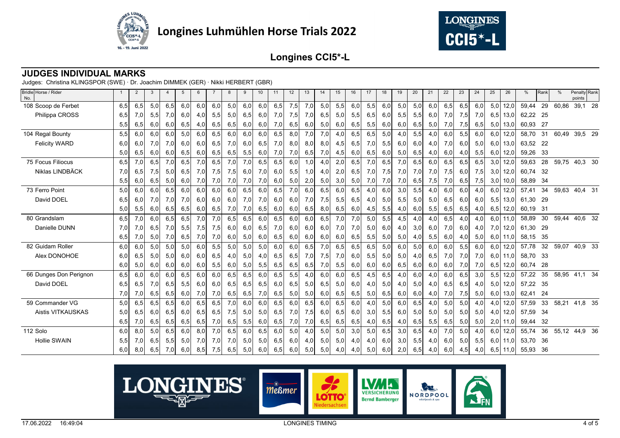



## **JUDGES INDIVIDUAL MARKS**

| Bridle Horse / Rider<br>No. |     | $\overline{2}$ | 3    |      | 5    | 6   |     | 8   | 9   | 10  | 11  | 12  | 13  | 14  | 15  | 16  | 17  | 18  | 19  | 20  | 21  | 22  | 23  | 24  | 25  | 26   | %        | Rank | %     | Penalty Rank<br>points |
|-----------------------------|-----|----------------|------|------|------|-----|-----|-----|-----|-----|-----|-----|-----|-----|-----|-----|-----|-----|-----|-----|-----|-----|-----|-----|-----|------|----------|------|-------|------------------------|
| 108 Scoop de Ferbet         | 6,5 | 6,5            | 5,0  | 6,5  | 6,0  | 6,0 | 6,0 | 5,0 | 6,0 | 6,0 | 6,5 | 7,5 | 7,0 | 5,0 | 5,5 | 6,0 | 5,5 | 6,0 | 5,0 | 5,0 | 6,0 | 6,5 | 6,5 | 6,0 | 5,0 | 12,0 | 59,44    | 29   | 60,86 | 39,1 28                |
| Philippa CROSS              | 6,5 | 7,0            | 5,5  | 7,0  | 6,0  | 4,0 | 5,5 | 5,0 | 6,5 | 6,0 | 7,0 | 7,5 | 7,0 | 6,5 | 5,0 | 5,5 | 6,5 | 6,0 | 5,5 | 5,5 | 6,0 | 7,0 | 7,5 | 7,0 | 6,5 | 13,0 | 62,22 25 |      |       |                        |
|                             | 5,5 | 6,5            | 6,0  | 6,0  | 6,5  | 4,0 | 6,5 | 6,5 | 6,0 | 6,0 | 7,0 | 6,5 | 6,0 | 5,0 | 6,0 | 6,5 | 5,5 | 6,0 | 6,0 | 6,5 | 5,0 | 7,0 | 7,5 | 6,5 | 5,0 | 13,0 | 60,93    | - 27 |       |                        |
| 104 Regal Bounty            | 5,5 | 6,0            | 6,0  | 6,0  | 5,0  | 6,0 | 6,5 | 6,0 | 6,0 | 6,0 | 6,5 | 8,0 | 7,0 | 7,0 | 4,0 | 6,5 | 6,5 | 5,0 | 4,0 | 5,5 | 4,0 | 6,0 | 5,5 | 6,0 | 6,0 | 12,0 | 58,70    | 31   | 60,49 | 39,5 29                |
| <b>Felicity WARD</b>        | 6,0 | 6,0            | 7,0  | 7,0  | 6,0  | 6,0 | 6,5 | 7,0 | 6,0 | 6,5 | 7,0 | 8,0 | 8,0 | 8,0 | 4,5 | 6,5 | 7,0 | 5,5 | 6,0 | 6,0 | 4,0 | 7,0 | 6,0 | 5,0 | 6,0 | 13,0 | 63,52 22 |      |       |                        |
|                             | 5,0 | 6,5            | 6,0  | 6,0  | 6,5  | 6,0 | 6,5 | 6,5 | 5,5 | 6,0 | 7,0 | 7,0 | 6,5 | 7,0 | 4,5 | 6,0 | 6,5 | 6,0 | 5,0 | 6,5 | 4,0 | 6,0 | 4,0 | 5,5 | 6,0 | 12,0 | 59,26    | -33  |       |                        |
| <b>75 Focus Filiocus</b>    | 6,5 | 7,0            | 6,5  | 7,0  | 6, 5 | 7,0 | 6,5 | 7,0 | 7,0 | 6,5 | 6,5 | 6,0 | 1,0 | 4,0 | 2,0 | 6,5 | 7,0 | 6,5 | 7,0 | 6,5 | 6,0 | 6,5 | 6,5 | 6,5 | 3,0 | 12,0 | 59,63    | 28   | 59,75 | 40,3 30                |
| Niklas LINDBÄCK             | 7,0 | 6,5            | 7,5  | 5,0  | 6,5  | 7,0 | 7,5 | 7,5 | 6,0 | 7,0 | 6,0 | 5,5 | 1,0 | 4,0 | 2,0 | 6,5 | 7,0 | 7,5 | 7,0 | 7,0 | 7,0 | 7,5 | 6,0 | 7,5 | 3,0 | 12,0 | 60,74    | - 32 |       |                        |
|                             | 5,5 | 6,0            | 6,5  | 5,0  | 6,0  | 7,0 | 7,0 | 7,0 | 7,0 | 7,0 | 6,0 | 5,0 | 2,0 | 5,0 | 3,0 | 5,0 | 7,0 | 7,0 | 7,0 | 6,5 | 7,5 | 7,0 | 6,5 | 7,5 | 3,0 | 10,0 | 58,89    | -34  |       |                        |
| 73 Ferro Point              | 5,0 | 6,0            | 6,0  | 6, 5 | 6,0  | 6,0 | 6,0 | 6,0 | 6,5 | 6,0 | 6,5 | 7,0 | 6,0 | 6,5 | 6,0 | 6,5 | 4,0 | 6,0 | 3,0 | 5,5 | 4,0 | 6,0 | 6,0 | 4,0 | 6,0 | 12,0 | 57,41    | 34   | 59,63 | 40,4 31                |
| David DOEL                  | 6,5 | 6,0            | 7,0  | 7,0  | 7,0  | 6,0 | 6,0 | 6,0 | 7,0 | 7,0 | 6,0 | 6,0 | 7,0 | 7,5 | 5,5 | 6,5 | 4,0 | 5,0 | 5,5 | 5,0 | 5,0 | 6,5 | 6,0 | 6,0 | 5,5 | 13,0 | 61,30    | 29   |       |                        |
|                             | 5,0 | 5,5            | 6,0  | 6,5  | 6,5  | 6,0 | 6,5 | 7,0 | 7,0 | 6,5 | 6,0 | 6,0 | 6,5 | 8,0 | 6,5 | 6,0 | 4,5 | 5,5 | 4,0 | 6,0 | 5,5 | 6,5 | 6,5 | 4,0 | 6,5 | 12,0 | 60,19    | -31  |       |                        |
| 80 Grandslam                | 6,5 | 7,0            | 6,0  | 6, 5 | 6, 5 | 7,0 | 7,0 | 6,5 | 6,5 | 6,0 | 6,5 | 6,0 | 6,0 | 6,5 | 7,0 | 7,0 | 5,0 | 5,5 | 4,5 | 4,0 | 4,0 | 6,5 | 4,0 | 4,0 | 6,0 | 11,0 | 58,89    | 30   | 59,44 | 40,6 32                |
| Danielle DUNN               | 7,0 | 7,0            | 6,5  | 7,0  | 5,5  | 7,5 | 7,5 | 6,0 | 6,0 | 6,5 | 7,0 | 6,0 | 6,0 | 6,0 | 7,0 | 7,0 | 5,0 | 6,0 | 4,0 | 3,0 | 6,0 | 7,0 | 6,0 | 4,0 | 7,0 | 12,0 | 61,30    | - 29 |       |                        |
|                             | 6,5 | 7,0            | 5,0  | 7,0  | 6,5  | 7,0 | 7,0 | 6,0 | 5,0 | 6,0 | 6,5 | 6,0 | 6,0 | 6,0 | 6,0 | 6,5 | 5,5 | 5,0 | 5,0 | 4,0 | 5,5 | 6,0 | 4,0 | 5,0 | 6,0 | 11,0 | 58,15    | 35   |       |                        |
| 82 Guidam Roller            | 6,0 | 6,0            | 5,0  | 5,0  | 5,0  | 6,0 | 5,5 | 5,0 | 5,0 | 5,0 | 6,0 | 6,0 | 6,5 | 7,0 | 6,5 | 6,5 | 6,5 | 5,0 | 6,0 | 5,0 | 6,0 | 6,0 | 5,5 | 6,0 | 6,0 | 12,0 | 57,78    | 32   | 59,07 | 40,9 33                |
| Alex DONOHOE                | 6,0 | 6,5            | 5,0  | 5,0  | 6,0  | 6,0 | 6,5 | 4,0 | 5,0 | 4,0 | 6,5 | 6,5 | 7,0 | 7,5 | 7,0 | 6,0 | 5,5 | 5,0 | 5,0 | 4,0 | 6,5 | 7,0 | 7,0 | 7,0 | 6,0 | 11,0 | 58,70 33 |      |       |                        |
|                             | 6,0 | 5,0            | 6,0  | 6,0  | 6,0  | 6,0 | 5,5 | 6,0 | 5,0 | 5,5 | 6,5 | 6,5 | 6,5 | 7,0 | 5,5 | 6,0 | 6,0 | 6,0 | 6,5 | 6,0 | 6,0 | 6,0 | 7,0 | 7,0 | 6,5 | 12,0 | 60,74    | -28  |       |                        |
| 66 Dunges Don Perignon      | 6,5 | 6,0            | 6,0  | 6,0  | 6, 5 | 6,0 | 6,0 | 6,5 | 6,5 | 6,0 | 6,5 | 5,5 | 4,0 | 6,0 | 6,0 | 6,5 | 4,5 | 6,5 | 4,0 | 6,0 | 4,0 | 6,0 | 6,5 | 3,0 | 5,5 | 12,0 | 57,22    | 35   | 58,95 | 41,1 34                |
| David DOEL                  | 6,5 | 6,5            | 7,0  | 6,5  | 5,5  | 6,0 | 6,0 | 6,5 | 6,5 | 6,5 | 6,0 | 6,5 | 5,0 | 6,5 | 5,0 | 6,0 | 4,0 | 5,0 | 4,0 | 5,0 | 4,0 | 6,5 | 6,5 | 4,0 | 5,0 | 12,0 | 57,22 35 |      |       |                        |
|                             | 7,0 | 7,0            | 6,5  | 6,5  | 6,0  | 7,0 | 7,0 | 6,5 | 6,5 | 7,0 | 6,5 | 5,0 | 5,0 | 6,0 | 6,5 | 6,5 | 5,0 | 6,5 | 6,0 | 6,0 | 4,0 | 7,0 | 7,5 | 5,0 | 6,0 | 13,0 | 62,41    | -24  |       |                        |
| 59 Commander VG             | 5,0 | 6, 5           | 6, 5 | 6, 5 | 6,0  | 6,5 | 6,5 | 7,0 | 6,0 | 6,0 | 6,5 | 6,0 | 6,5 | 6,0 | 6,5 | 6,0 | 4,0 | 5,0 | 6,0 | 6,5 | 4,0 | 5,0 | 5,0 | 4,0 | 4,0 | 12,0 | 57,59    | 33   | 58,21 | 41,8 35                |
| <b>Aistis VITKAUSKAS</b>    | 5,0 | 6,5            | 6,0  | 6,5  | 6,0  | 6,5 | 6,5 | 7,5 | 5,0 | 5,0 | 6,5 | 7,0 | 7,5 | 6,0 | 6,5 | 6,0 | 3,0 | 5,5 | 6,0 | 5,0 | 5,0 | 5,0 | 5,0 | 5,0 | 4,0 | 12,0 | 57,59    | - 34 |       |                        |
|                             | 6,5 | 7,0            | 6,5  | 6,5  | 6,5  | 6,5 | 7,0 | 6,5 | 5,5 | 6,0 | 6,5 | 7,0 | 7,0 | 6,5 | 6,5 | 6,5 | 4,0 | 6,5 | 4,0 | 6,5 | 5,5 | 6,5 | 5,0 | 5,0 | 2,0 | 11,0 | 59,44    | 32   |       |                        |
| 112 Solo                    | 6,0 | 8,0            | 5,0  | 6,5  | 6,0  | 8,0 | 7,0 | 6,5 | 6,0 | 6,5 | 6,0 | 5,0 | 4,0 | 5,0 | 5,0 | 3,0 | 5,0 | 6,5 | 3,0 | 6,5 | 4,0 | 7,0 | 5,0 | 4,0 | 6,0 | 12,0 | 55,74    | 36   |       | 55,12 44,9 36          |
| <b>Hollie SWAIN</b>         | 5,5 | 7,0            | 6,5  | 5,5  | 5,0  | 7,0 | 7,0 | 7,0 | 5,0 | 5,0 | 6,5 | 6,0 | 4,0 | 5,0 | 5,0 | 4,0 | 4,0 | 6,0 | 3,0 | 5,5 | 4,0 | 6,0 | 5,0 | 5,5 | 6,0 | 11,0 | 53,70    | - 36 |       |                        |
|                             | 6,0 | 8,0            | 6,5  | 7,0  | 6,0  | 8,5 | 7,5 | 6,5 | 5,0 | 6,0 | 6,5 | 6,0 | 5,0 | 5,0 | 4,0 | 4,0 | 5,0 | 6,0 | 2,0 | 6,5 | 4,0 | 6,0 | 4,5 | 4,0 | 6,5 | 11,0 | 55,93    | 36   |       |                        |